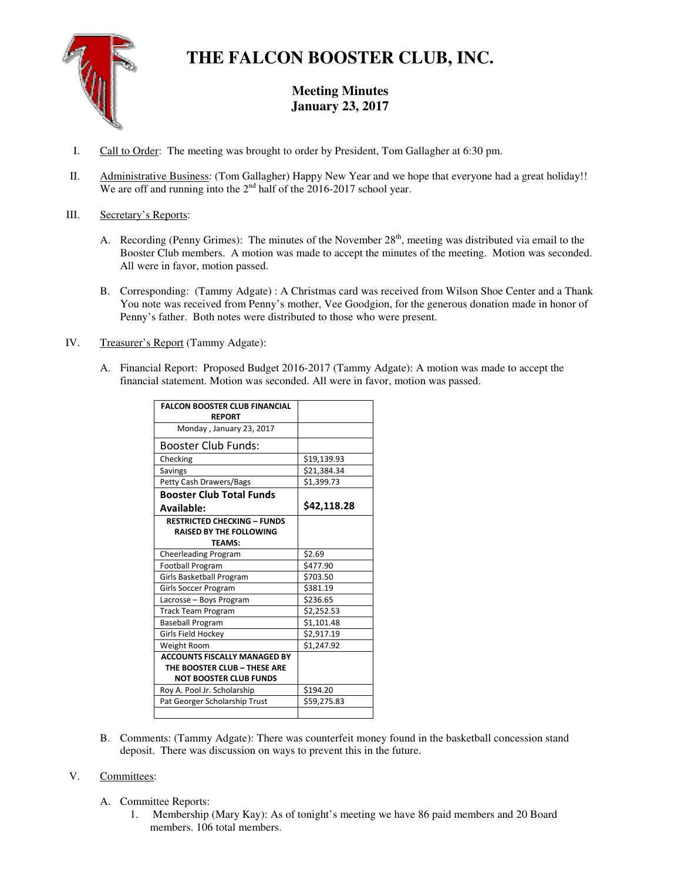

# **THE FALCON BOOSTER CLUB, INC.**

# **Meeting Minutes January 23, 2017**

- I. Call to Order: The meeting was brought to order by President, Tom Gallagher at 6:30 pm.
- II. Administrative Business: (Tom Gallagher) Happy New Year and we hope that everyone had a great holiday!! We are off and running into the  $2<sup>nd</sup>$  half of the 2016-2017 school year.

# III. Secretary's Reports:

- A. Recording (Penny Grimes): The minutes of the November  $28<sup>th</sup>$ , meeting was distributed via email to the Booster Club members. A motion was made to accept the minutes of the meeting. Motion was seconded. All were in favor, motion passed.
- B. Corresponding: (Tammy Adgate) : A Christmas card was received from Wilson Shoe Center and a Thank You note was received from Penny's mother, Vee Goodgion, for the generous donation made in honor of Penny's father. Both notes were distributed to those who were present.
- IV. Treasurer's Report (Tammy Adgate):
	- A. Financial Report: Proposed Budget 2016-2017 (Tammy Adgate): A motion was made to accept the financial statement. Motion was seconded. All were in favor, motion was passed.

| <b>FALCON BOOSTER CLUB FINANCIAL</b><br><b>REPORT</b>                                 |             |
|---------------------------------------------------------------------------------------|-------------|
| Monday, January 23, 2017                                                              |             |
| <b>Booster Club Funds:</b>                                                            |             |
| Checking                                                                              | \$19,139.93 |
| Savings                                                                               | \$21,384.34 |
| Petty Cash Drawers/Bags                                                               | \$1,399.73  |
| <b>Booster Club Total Funds</b>                                                       |             |
| Available:                                                                            | \$42,118.28 |
| <b>RESTRICTED CHECKING - FUNDS</b><br><b>RAISED BY THE FOLLOWING</b><br><b>TFAMS:</b> |             |
| Cheerleading Program                                                                  | \$2.69      |
| <b>Football Program</b>                                                               | \$477.90    |
| Girls Basketball Program                                                              | \$703.50    |
| Girls Soccer Program                                                                  | \$381.19    |
| Lacrosse - Boys Program                                                               | \$236.65    |
| <b>Track Team Program</b>                                                             | \$2,252.53  |
| <b>Baseball Program</b>                                                               | \$1,101.48  |
| Girls Field Hockey                                                                    | \$2,917.19  |
| Weight Room                                                                           | \$1,247.92  |
| <b>ACCOUNTS FISCALLY MANAGED BY</b>                                                   |             |
| THE BOOSTER CLUB - THESE ARE                                                          |             |
| <b>NOT BOOSTER CLUB FUNDS</b>                                                         |             |
| Roy A. Pool Jr. Scholarship                                                           | \$194.20    |
| Pat Georger Scholarship Trust                                                         | \$59,275.83 |

B. Comments: (Tammy Adgate): There was counterfeit money found in the basketball concession stand deposit. There was discussion on ways to prevent this in the future.

# V. Committees:

- A. Committee Reports:
	- 1. Membership (Mary Kay): As of tonight's meeting we have 86 paid members and 20 Board members. 106 total members.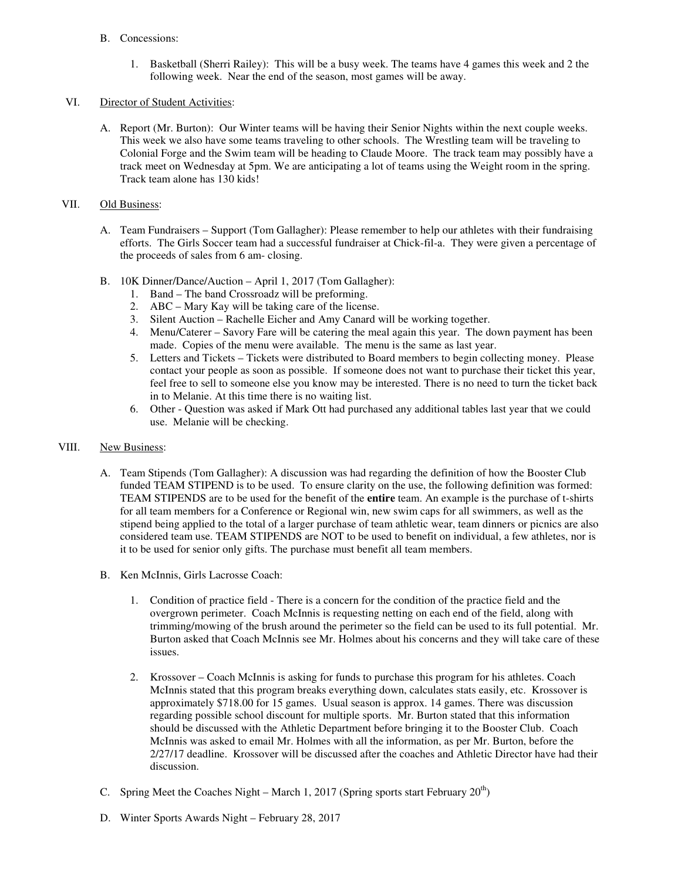#### B. Concessions:

1. Basketball (Sherri Railey): This will be a busy week. The teams have 4 games this week and 2 the following week. Near the end of the season, most games will be away.

#### VI. Director of Student Activities:

A. Report (Mr. Burton): Our Winter teams will be having their Senior Nights within the next couple weeks. This week we also have some teams traveling to other schools. The Wrestling team will be traveling to Colonial Forge and the Swim team will be heading to Claude Moore. The track team may possibly have a track meet on Wednesday at 5pm. We are anticipating a lot of teams using the Weight room in the spring. Track team alone has 130 kids!

# VII. Old Business:

- A. Team Fundraisers Support (Tom Gallagher): Please remember to help our athletes with their fundraising efforts. The Girls Soccer team had a successful fundraiser at Chick-fil-a. They were given a percentage of the proceeds of sales from 6 am- closing.
- B. 10K Dinner/Dance/Auction April 1, 2017 (Tom Gallagher):
	- 1. Band The band Crossroadz will be preforming.
	- 2. ABC Mary Kay will be taking care of the license.
	- 3. Silent Auction Rachelle Eicher and Amy Canard will be working together.
	- 4. Menu/Caterer Savory Fare will be catering the meal again this year. The down payment has been made. Copies of the menu were available. The menu is the same as last year.
	- 5. Letters and Tickets Tickets were distributed to Board members to begin collecting money. Please contact your people as soon as possible. If someone does not want to purchase their ticket this year, feel free to sell to someone else you know may be interested. There is no need to turn the ticket back in to Melanie. At this time there is no waiting list.
	- 6. Other Question was asked if Mark Ott had purchased any additional tables last year that we could use. Melanie will be checking.

# VIII. New Business:

- A. Team Stipends (Tom Gallagher): A discussion was had regarding the definition of how the Booster Club funded TEAM STIPEND is to be used. To ensure clarity on the use, the following definition was formed: TEAM STIPENDS are to be used for the benefit of the **entire** team. An example is the purchase of t-shirts for all team members for a Conference or Regional win, new swim caps for all swimmers, as well as the stipend being applied to the total of a larger purchase of team athletic wear, team dinners or picnics are also considered team use. TEAM STIPENDS are NOT to be used to benefit on individual, a few athletes, nor is it to be used for senior only gifts. The purchase must benefit all team members.
- B. Ken McInnis, Girls Lacrosse Coach:
	- 1. Condition of practice field There is a concern for the condition of the practice field and the overgrown perimeter. Coach McInnis is requesting netting on each end of the field, along with trimming/mowing of the brush around the perimeter so the field can be used to its full potential. Mr. Burton asked that Coach McInnis see Mr. Holmes about his concerns and they will take care of these issues.
	- 2. Krossover Coach McInnis is asking for funds to purchase this program for his athletes. Coach McInnis stated that this program breaks everything down, calculates stats easily, etc. Krossover is approximately \$718.00 for 15 games. Usual season is approx. 14 games. There was discussion regarding possible school discount for multiple sports. Mr. Burton stated that this information should be discussed with the Athletic Department before bringing it to the Booster Club. Coach McInnis was asked to email Mr. Holmes with all the information, as per Mr. Burton, before the 2/27/17 deadline. Krossover will be discussed after the coaches and Athletic Director have had their discussion.
- C. Spring Meet the Coaches Night March 1, 2017 (Spring sports start February  $20<sup>th</sup>$ )
- D. Winter Sports Awards Night February 28, 2017